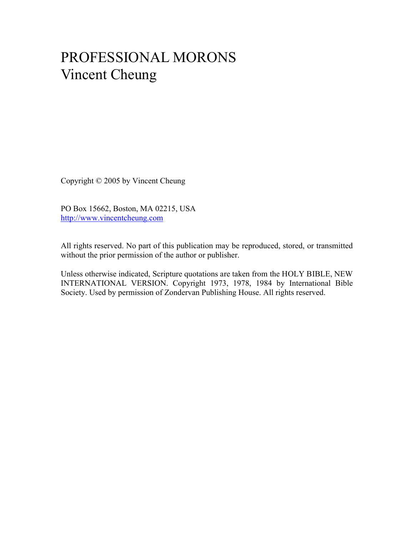# PROFESSIONAL MORONS Vincent Cheung

Copyright © 2005 by Vincent Cheung

PO Box 15662, Boston, MA 02215, USA http://www.vincentcheung.com

All rights reserved. No part of this publication may be reproduced, stored, or transmitted without the prior permission of the author or publisher.

Unless otherwise indicated, Scripture quotations are taken from the HOLY BIBLE, NEW INTERNATIONAL VERSION. Copyright 1973, 1978, 1984 by International Bible Society. Used by permission of Zondervan Publishing House. All rights reserved.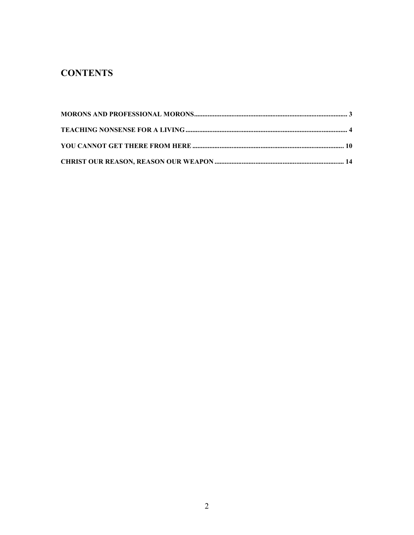# **CONTENTS**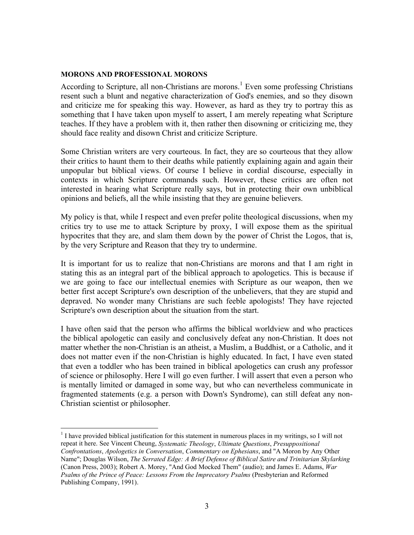### **MORONS AND PROFESSIONAL MORONS**

 $\overline{a}$ 

According to Scripture, all non-Christians are morons.<sup>1</sup> Even some professing Christians resent such a blunt and negative characterization of God's enemies, and so they disown and criticize me for speaking this way. However, as hard as they try to portray this as something that I have taken upon myself to assert, I am merely repeating what Scripture teaches. If they have a problem with it, then rather then disowning or criticizing me, they should face reality and disown Christ and criticize Scripture.

Some Christian writers are very courteous. In fact, they are so courteous that they allow their critics to haunt them to their deaths while patiently explaining again and again their unpopular but biblical views. Of course I believe in cordial discourse, especially in contexts in which Scripture commands such. However, these critics are often not interested in hearing what Scripture really says, but in protecting their own unbiblical opinions and beliefs, all the while insisting that they are genuine believers.

My policy is that, while I respect and even prefer polite theological discussions, when my critics try to use me to attack Scripture by proxy, I will expose them as the spiritual hypocrites that they are, and slam them down by the power of Christ the Logos, that is, by the very Scripture and Reason that they try to undermine.

It is important for us to realize that non-Christians are morons and that I am right in stating this as an integral part of the biblical approach to apologetics. This is because if we are going to face our intellectual enemies with Scripture as our weapon, then we better first accept Scripture's own description of the unbelievers, that they are stupid and depraved. No wonder many Christians are such feeble apologists! They have rejected Scripture's own description about the situation from the start.

I have often said that the person who affirms the biblical worldview and who practices the biblical apologetic can easily and conclusively defeat any non-Christian. It does not matter whether the non-Christian is an atheist, a Muslim, a Buddhist, or a Catholic, and it does not matter even if the non-Christian is highly educated. In fact, I have even stated that even a toddler who has been trained in biblical apologetics can crush any professor of science or philosophy. Here I will go even further. I will assert that even a person who is mentally limited or damaged in some way, but who can nevertheless communicate in fragmented statements (e.g. a person with Down's Syndrome), can still defeat any non-Christian scientist or philosopher.

<sup>&</sup>lt;sup>1</sup> I have provided biblical justification for this statement in numerous places in my writings, so I will not repeat it here. See Vincent Cheung, *Systematic Theology*, *Ultimate Questions*, *Presuppositional Confrontations*, *Apologetics in Conversation*, *Commentary on Ephesians*, and "A Moron by Any Other Name"; Douglas Wilson, *The Serrated Edge: A Brief Defense of Biblical Satire and Trinitarian Skylarking* (Canon Press, 2003); Robert A. Morey, "And God Mocked Them" (audio); and James E. Adams, *War Psalms of the Prince of Peace: Lessons From the Imprecatory Psalms* (Presbyterian and Reformed Publishing Company, 1991).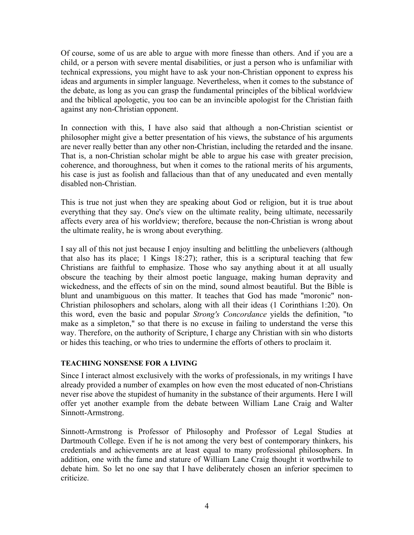Of course, some of us are able to argue with more finesse than others. And if you are a child, or a person with severe mental disabilities, or just a person who is unfamiliar with technical expressions, you might have to ask your non-Christian opponent to express his ideas and arguments in simpler language. Nevertheless, when it comes to the substance of the debate, as long as you can grasp the fundamental principles of the biblical worldview and the biblical apologetic, you too can be an invincible apologist for the Christian faith against any non-Christian opponent.

In connection with this, I have also said that although a non-Christian scientist or philosopher might give a better presentation of his views, the substance of his arguments are never really better than any other non-Christian, including the retarded and the insane. That is, a non-Christian scholar might be able to argue his case with greater precision, coherence, and thoroughness, but when it comes to the rational merits of his arguments, his case is just as foolish and fallacious than that of any uneducated and even mentally disabled non-Christian.

This is true not just when they are speaking about God or religion, but it is true about everything that they say. One's view on the ultimate reality, being ultimate, necessarily affects every area of his worldview; therefore, because the non-Christian is wrong about the ultimate reality, he is wrong about everything.

I say all of this not just because I enjoy insulting and belittling the unbelievers (although that also has its place; 1 Kings 18:27); rather, this is a scriptural teaching that few Christians are faithful to emphasize. Those who say anything about it at all usually obscure the teaching by their almost poetic language, making human depravity and wickedness, and the effects of sin on the mind, sound almost beautiful. But the Bible is blunt and unambiguous on this matter. It teaches that God has made "moronic" non-Christian philosophers and scholars, along with all their ideas (1 Corinthians 1:20). On this word, even the basic and popular *Strong's Concordance* yields the definition, "to make as a simpleton," so that there is no excuse in failing to understand the verse this way. Therefore, on the authority of Scripture, I charge any Christian with sin who distorts or hides this teaching, or who tries to undermine the efforts of others to proclaim it.

#### **TEACHING NONSENSE FOR A LIVING**

Since I interact almost exclusively with the works of professionals, in my writings I have already provided a number of examples on how even the most educated of non-Christians never rise above the stupidest of humanity in the substance of their arguments. Here I will offer yet another example from the debate between William Lane Craig and Walter Sinnott-Armstrong.

Sinnott-Armstrong is Professor of Philosophy and Professor of Legal Studies at Dartmouth College. Even if he is not among the very best of contemporary thinkers, his credentials and achievements are at least equal to many professional philosophers. In addition, one with the fame and stature of William Lane Craig thought it worthwhile to debate him. So let no one say that I have deliberately chosen an inferior specimen to criticize.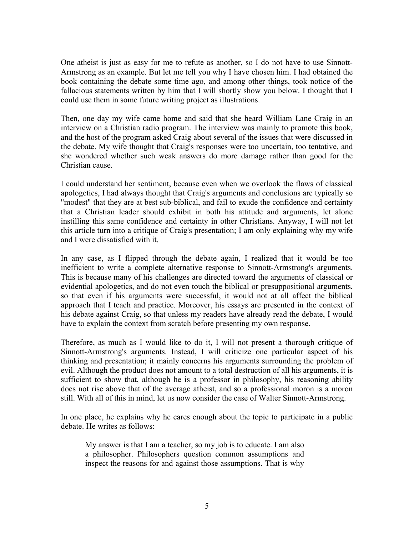One atheist is just as easy for me to refute as another, so I do not have to use Sinnott-Armstrong as an example. But let me tell you why I have chosen him. I had obtained the book containing the debate some time ago, and among other things, took notice of the fallacious statements written by him that I will shortly show you below. I thought that I could use them in some future writing project as illustrations.

Then, one day my wife came home and said that she heard William Lane Craig in an interview on a Christian radio program. The interview was mainly to promote this book, and the host of the program asked Craig about several of the issues that were discussed in the debate. My wife thought that Craig's responses were too uncertain, too tentative, and she wondered whether such weak answers do more damage rather than good for the Christian cause.

I could understand her sentiment, because even when we overlook the flaws of classical apologetics, I had always thought that Craig's arguments and conclusions are typically so "modest" that they are at best sub-biblical, and fail to exude the confidence and certainty that a Christian leader should exhibit in both his attitude and arguments, let alone instilling this same confidence and certainty in other Christians. Anyway, I will not let this article turn into a critique of Craig's presentation; I am only explaining why my wife and I were dissatisfied with it.

In any case, as I flipped through the debate again, I realized that it would be too inefficient to write a complete alternative response to Sinnott-Armstrong's arguments. This is because many of his challenges are directed toward the arguments of classical or evidential apologetics, and do not even touch the biblical or presuppositional arguments, so that even if his arguments were successful, it would not at all affect the biblical approach that I teach and practice. Moreover, his essays are presented in the context of his debate against Craig, so that unless my readers have already read the debate, I would have to explain the context from scratch before presenting my own response.

Therefore, as much as I would like to do it, I will not present a thorough critique of Sinnott-Armstrong's arguments. Instead, I will criticize one particular aspect of his thinking and presentation; it mainly concerns his arguments surrounding the problem of evil. Although the product does not amount to a total destruction of all his arguments, it is sufficient to show that, although he is a professor in philosophy, his reasoning ability does not rise above that of the average atheist, and so a professional moron is a moron still. With all of this in mind, let us now consider the case of Walter Sinnott-Armstrong.

In one place, he explains why he cares enough about the topic to participate in a public debate. He writes as follows:

My answer is that I am a teacher, so my job is to educate. I am also a philosopher. Philosophers question common assumptions and inspect the reasons for and against those assumptions. That is why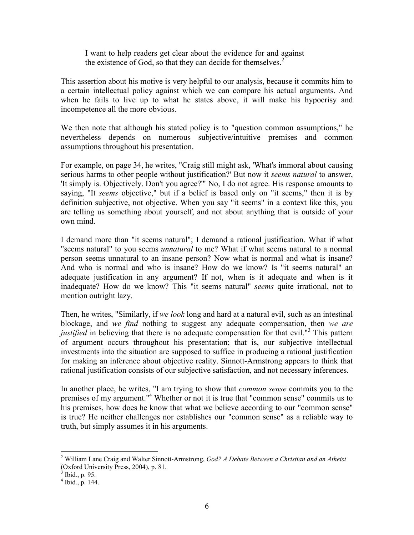I want to help readers get clear about the evidence for and against the existence of God, so that they can decide for themselves. $<sup>2</sup>$ </sup>

This assertion about his motive is very helpful to our analysis, because it commits him to a certain intellectual policy against which we can compare his actual arguments. And when he fails to live up to what he states above, it will make his hypocrisy and incompetence all the more obvious.

We then note that although his stated policy is to "question common assumptions," he nevertheless depends on numerous subjective/intuitive premises and common assumptions throughout his presentation.

For example, on page 34, he writes, "Craig still might ask, 'What's immoral about causing serious harms to other people without justification?' But now it *seems natural* to answer, 'It simply is. Objectively. Don't you agree?'" No, I do not agree. His response amounts to saying, "It *seems* objective," but if a belief is based only on "it seems," then it is by definition subjective, not objective. When you say "it seems" in a context like this, you are telling us something about yourself, and not about anything that is outside of your own mind.

I demand more than "it seems natural"; I demand a rational justification. What if what "seems natural" to you seems *unnatural* to me? What if what seems natural to a normal person seems unnatural to an insane person? Now what is normal and what is insane? And who is normal and who is insane? How do we know? Is "it seems natural" an adequate justification in any argument? If not, when is it adequate and when is it inadequate? How do we know? This "it seems natural" *seems* quite irrational, not to mention outright lazy.

Then, he writes, "Similarly, if *we look* long and hard at a natural evil, such as an intestinal blockage, and *we find* nothing to suggest any adequate compensation, then *we are justified* in believing that there is no adequate compensation for that evil.<sup>"3</sup> This pattern of argument occurs throughout his presentation; that is, our subjective intellectual investments into the situation are supposed to suffice in producing a rational justification for making an inference about objective reality. Sinnott-Armstrong appears to think that rational justification consists of our subjective satisfaction, and not necessary inferences.

In another place, he writes, "I am trying to show that *common sense* commits you to the premises of my argument."<sup>4</sup> Whether or not it is true that "common sense" commits us to his premises, how does he know that what we believe according to our "common sense" is true? He neither challenges nor establishes our "common sense" as a reliable way to truth, but simply assumes it in his arguments.

<sup>2</sup> William Lane Craig and Walter Sinnott-Armstrong, *God? A Debate Between a Christian and an Atheist* (Oxford University Press, 2004), p. 81.<br><sup>3</sup> Ibid., p. 95.

 $4$  Ibid., p. 144.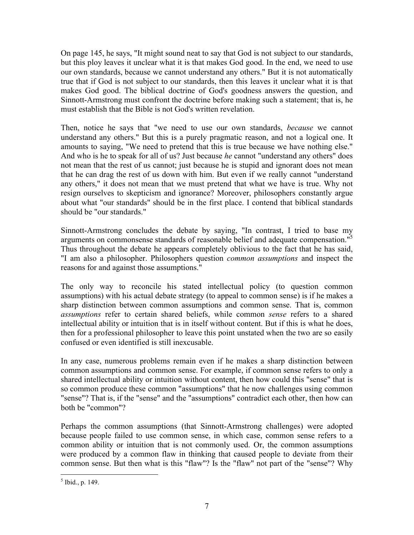On page 145, he says, "It might sound neat to say that God is not subject to our standards, but this ploy leaves it unclear what it is that makes God good. In the end, we need to use our own standards, because we cannot understand any others." But it is not automatically true that if God is not subject to our standards, then this leaves it unclear what it is that makes God good. The biblical doctrine of God's goodness answers the question, and Sinnott-Armstrong must confront the doctrine before making such a statement; that is, he must establish that the Bible is not God's written revelation.

Then, notice he says that "we need to use our own standards, *because* we cannot understand any others." But this is a purely pragmatic reason, and not a logical one. It amounts to saying, "We need to pretend that this is true because we have nothing else." And who is he to speak for all of us? Just because *he* cannot "understand any others" does not mean that the rest of us cannot; just because he is stupid and ignorant does not mean that he can drag the rest of us down with him. But even if we really cannot "understand any others," it does not mean that we must pretend that what we have is true. Why not resign ourselves to skepticism and ignorance? Moreover, philosophers constantly argue about what "our standards" should be in the first place. I contend that biblical standards should be "our standards."

Sinnott-Armstrong concludes the debate by saying, "In contrast, I tried to base my arguments on commonsense standards of reasonable belief and adequate compensation.<sup>"5</sup> Thus throughout the debate he appears completely oblivious to the fact that he has said, "I am also a philosopher. Philosophers question *common assumptions* and inspect the reasons for and against those assumptions."

The only way to reconcile his stated intellectual policy (to question common assumptions) with his actual debate strategy (to appeal to common sense) is if he makes a sharp distinction between common assumptions and common sense. That is, common *assumptions* refer to certain shared beliefs, while common *sense* refers to a shared intellectual ability or intuition that is in itself without content. But if this is what he does, then for a professional philosopher to leave this point unstated when the two are so easily confused or even identified is still inexcusable.

In any case, numerous problems remain even if he makes a sharp distinction between common assumptions and common sense. For example, if common sense refers to only a shared intellectual ability or intuition without content, then how could this "sense" that is so common produce these common "assumptions" that he now challenges using common "sense"? That is, if the "sense" and the "assumptions" contradict each other, then how can both be "common"?

Perhaps the common assumptions (that Sinnott-Armstrong challenges) were adopted because people failed to use common sense, in which case, common sense refers to a common ability or intuition that is not commonly used. Or, the common assumptions were produced by a common flaw in thinking that caused people to deviate from their common sense. But then what is this "flaw"? Is the "flaw" not part of the "sense"? Why

 $<sup>5</sup>$  Ibid., p. 149.</sup>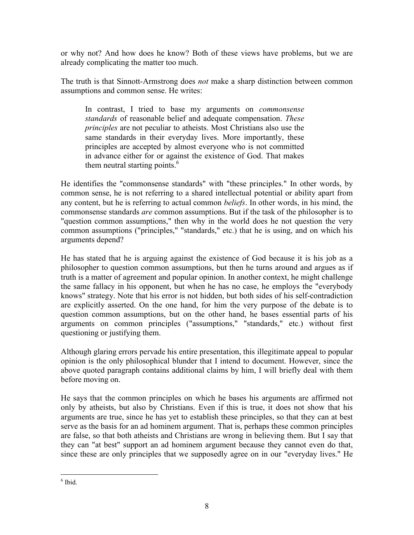or why not? And how does he know? Both of these views have problems, but we are already complicating the matter too much.

The truth is that Sinnott-Armstrong does *not* make a sharp distinction between common assumptions and common sense. He writes:

In contrast, I tried to base my arguments on *commonsense standards* of reasonable belief and adequate compensation. *These principles* are not peculiar to atheists. Most Christians also use the same standards in their everyday lives. More importantly, these principles are accepted by almost everyone who is not committed in advance either for or against the existence of God. That makes them neutral starting points. $<sup>6</sup>$ </sup>

He identifies the "commonsense standards" with "these principles." In other words, by common sense, he is not referring to a shared intellectual potential or ability apart from any content, but he is referring to actual common *beliefs*. In other words, in his mind, the commonsense standards *are* common assumptions. But if the task of the philosopher is to "question common assumptions," then why in the world does he not question the very common assumptions ("principles," "standards," etc.) that he is using, and on which his arguments depend?

He has stated that he is arguing against the existence of God because it is his job as a philosopher to question common assumptions, but then he turns around and argues as if truth is a matter of agreement and popular opinion. In another context, he might challenge the same fallacy in his opponent, but when he has no case, he employs the "everybody knows" strategy. Note that his error is not hidden, but both sides of his self-contradiction are explicitly asserted. On the one hand, for him the very purpose of the debate is to question common assumptions, but on the other hand, he bases essential parts of his arguments on common principles ("assumptions," "standards," etc.) without first questioning or justifying them.

Although glaring errors pervade his entire presentation, this illegitimate appeal to popular opinion is the only philosophical blunder that I intend to document. However, since the above quoted paragraph contains additional claims by him, I will briefly deal with them before moving on.

He says that the common principles on which he bases his arguments are affirmed not only by atheists, but also by Christians. Even if this is true, it does not show that his arguments are true, since he has yet to establish these principles, so that they can at best serve as the basis for an ad hominem argument. That is, perhaps these common principles are false, so that both atheists and Christians are wrong in believing them. But I say that they can "at best" support an ad hominem argument because they cannot even do that, since these are only principles that we supposedly agree on in our "everyday lives." He

 $\overline{a}$ 6 Ibid.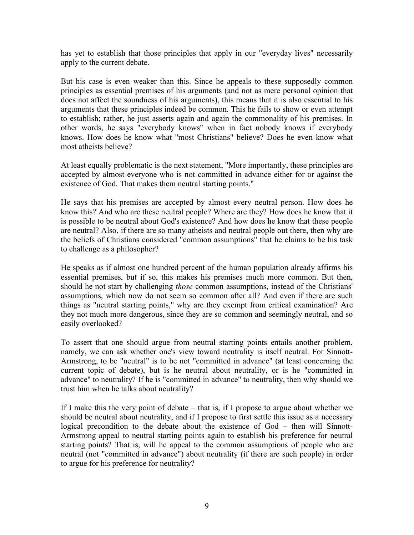has yet to establish that those principles that apply in our "everyday lives" necessarily apply to the current debate.

But his case is even weaker than this. Since he appeals to these supposedly common principles as essential premises of his arguments (and not as mere personal opinion that does not affect the soundness of his arguments), this means that it is also essential to his arguments that these principles indeed be common. This he fails to show or even attempt to establish; rather, he just asserts again and again the commonality of his premises. In other words, he says "everybody knows" when in fact nobody knows if everybody knows. How does he know what "most Christians" believe? Does he even know what most atheists believe?

At least equally problematic is the next statement, "More importantly, these principles are accepted by almost everyone who is not committed in advance either for or against the existence of God. That makes them neutral starting points."

He says that his premises are accepted by almost every neutral person. How does he know this? And who are these neutral people? Where are they? How does he know that it is possible to be neutral about God's existence? And how does he know that these people are neutral? Also, if there are so many atheists and neutral people out there, then why are the beliefs of Christians considered "common assumptions" that he claims to be his task to challenge as a philosopher?

He speaks as if almost one hundred percent of the human population already affirms his essential premises, but if so, this makes his premises much more common. But then, should he not start by challenging *those* common assumptions, instead of the Christians' assumptions, which now do not seem so common after all? And even if there are such things as "neutral starting points," why are they exempt from critical examination? Are they not much more dangerous, since they are so common and seemingly neutral, and so easily overlooked?

To assert that one should argue from neutral starting points entails another problem, namely, we can ask whether one's view toward neutrality is itself neutral. For Sinnott-Armstrong, to be "neutral" is to be not "committed in advance" (at least concerning the current topic of debate), but is he neutral about neutrality, or is he "committed in advance" to neutrality? If he is "committed in advance" to neutrality, then why should we trust him when he talks about neutrality?

If I make this the very point of debate – that is, if I propose to argue about whether we should be neutral about neutrality, and if I propose to first settle this issue as a necessary logical precondition to the debate about the existence of God – then will Sinnott-Armstrong appeal to neutral starting points again to establish his preference for neutral starting points? That is, will he appeal to the common assumptions of people who are neutral (not "committed in advance") about neutrality (if there are such people) in order to argue for his preference for neutrality?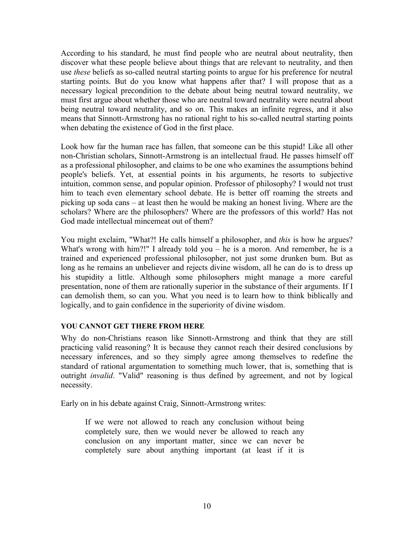According to his standard, he must find people who are neutral about neutrality, then discover what these people believe about things that are relevant to neutrality, and then use *these* beliefs as so-called neutral starting points to argue for his preference for neutral starting points. But do you know what happens after that? I will propose that as a necessary logical precondition to the debate about being neutral toward neutrality, we must first argue about whether those who are neutral toward neutrality were neutral about being neutral toward neutrality, and so on. This makes an infinite regress, and it also means that Sinnott-Armstrong has no rational right to his so-called neutral starting points when debating the existence of God in the first place.

Look how far the human race has fallen, that someone can be this stupid! Like all other non-Christian scholars, Sinnott-Armstrong is an intellectual fraud. He passes himself off as a professional philosopher, and claims to be one who examines the assumptions behind people's beliefs. Yet, at essential points in his arguments, he resorts to subjective intuition, common sense, and popular opinion. Professor of philosophy? I would not trust him to teach even elementary school debate. He is better off roaming the streets and picking up soda cans – at least then he would be making an honest living. Where are the scholars? Where are the philosophers? Where are the professors of this world? Has not God made intellectual mincemeat out of them?

You might exclaim, "What?! He calls himself a philosopher, and *this* is how he argues? What's wrong with him?!" I already told you – he is a moron. And remember, he is a trained and experienced professional philosopher, not just some drunken bum. But as long as he remains an unbeliever and rejects divine wisdom, all he can do is to dress up his stupidity a little. Although some philosophers might manage a more careful presentation, none of them are rationally superior in the substance of their arguments. If I can demolish them, so can you. What you need is to learn how to think biblically and logically, and to gain confidence in the superiority of divine wisdom.

## **YOU CANNOT GET THERE FROM HERE**

Why do non-Christians reason like Sinnott-Armstrong and think that they are still practicing valid reasoning? It is because they cannot reach their desired conclusions by necessary inferences, and so they simply agree among themselves to redefine the standard of rational argumentation to something much lower, that is, something that is outright *invalid*. "Valid" reasoning is thus defined by agreement, and not by logical necessity.

Early on in his debate against Craig, Sinnott-Armstrong writes:

If we were not allowed to reach any conclusion without being completely sure, then we would never be allowed to reach any conclusion on any important matter, since we can never be completely sure about anything important (at least if it is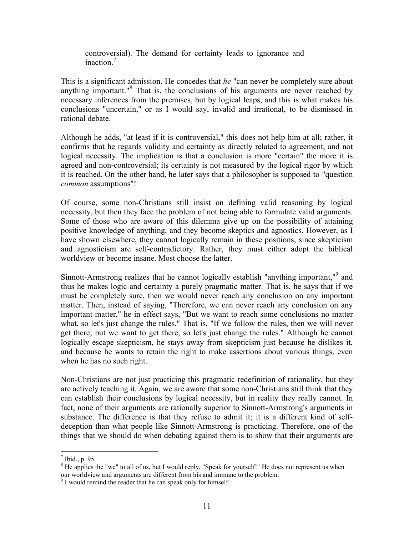controversial). The demand for certainty leads to ignorance and inaction $<sup>7</sup>$ </sup>

This is a significant admission. He concedes that *he* "can never be completely sure about anything important."<sup>8</sup> That is, the conclusions of his arguments are never reached by necessary inferences from the premises, but by logical leaps, and this is what makes his conclusions "uncertain," or as I would say, invalid and irrational, to be dismissed in rational debate.

Although he adds, "at least if it is controversial," this does not help him at all; rather, it confirms that he regards validity and certainty as directly related to agreement, and not logical necessity. The implication is that a conclusion is more "certain" the more it is agreed and non-controversial; its certainty is not measured by the logical rigor by which it is reached. On the other hand, he later says that a philosopher is supposed to "question *common* assumptions"!

Of course, some non-Christians still insist on defining valid reasoning by logical necessity, but then they face the problem of not being able to formulate valid arguments. Some of those who are aware of this dilemma give up on the possibility of attaining positive knowledge of anything, and they become skeptics and agnostics. However, as I have shown elsewhere, they cannot logically remain in these positions, since skepticism and agnosticism are self-contradictory. Rather, they must either adopt the biblical worldview or become insane. Most choose the latter.

Sinnott-Armstrong realizes that he cannot logically establish "anything important,"<sup>9</sup> and thus he makes logic and certainty a purely pragmatic matter. That is, he says that if we must be completely sure, then we would never reach any conclusion on any important matter. Then, instead of saying, "Therefore, we can never reach any conclusion on any important matter," he in effect says, "But we want to reach some conclusions no matter what, so let's just change the rules." That is, "If we follow the rules, then we will never get there; but we want to get there, so let's just change the rules." Although he cannot logically escape skepticism, he stays away from skepticism just because he dislikes it, and because he wants to retain the right to make assertions about various things, even when he has no such right.

Non-Christians are not just practicing this pragmatic redefinition of rationality, but they are actively teaching it. Again, we are aware that some non-Christians still think that they can establish their conclusions by logical necessity, but in reality they really cannot. In fact, none of their arguments are rationally superior to Sinnott-Armstrong's arguments in substance. The difference is that they refuse to admit it; it is a different kind of selfdeception than what people like Sinnott-Armstrong is practicing. Therefore, one of the things that we should do when debating against them is to show that their arguments are

 $<sup>7</sup>$  Ibid., p. 95.</sup>

 $8$  He applies the "we" to all of us, but I would reply, "Speak for yourself!" He does not represent us when our worldview and arguments are different from his and immune to the problem.

<sup>&</sup>lt;sup>9</sup> I would remind the reader that he can speak only for himself.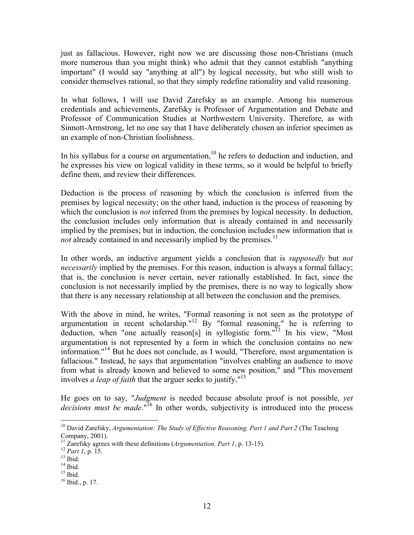just as fallacious. However, right now we are discussing those non-Christians (much more numerous than you might think) who admit that they cannot establish "anything important" (I would say "anything at all") by logical necessity, but who still wish to consider themselves rational, so that they simply redefine rationality and valid reasoning.

In what follows, I will use David Zarefsky as an example. Among his numerous credentials and achievements, Zarefsky is Professor of Argumentation and Debate and Professor of Communication Studies at Northwestern University. Therefore, as with Sinnott-Armstrong, let no one say that I have deliberately chosen an inferior specimen as an example of non-Christian foolishness.

In his syllabus for a course on argumentation, $10$  he refers to deduction and induction, and he expresses his view on logical validity in these terms, so it would be helpful to briefly define them, and review their differences.

Deduction is the process of reasoning by which the conclusion is inferred from the premises by logical necessity; on the other hand, induction is the process of reasoning by which the conclusion is *not* inferred from the premises by logical necessity. In deduction, the conclusion includes only information that is already contained in and necessarily implied by the premises; but in induction, the conclusion includes new information that is *not* already contained in and necessarily implied by the premises.<sup>11</sup>

In other words, an inductive argument yields a conclusion that is *supposedly* but *not necessarily* implied by the premises. For this reason, induction is always a formal fallacy; that is, the conclusion is never certain, never rationally established. In fact, since the conclusion is not necessarily implied by the premises, there is no way to logically show that there is any necessary relationship at all between the conclusion and the premises.

With the above in mind, he writes, "Formal reasoning is not seen as the prototype of argumentation in recent scholarship."<sup>12</sup> By "formal reasoning," he is referring to deduction, when "one actually reason[s] in syllogistic form."<sup>13</sup> In his view, "Most argumentation is not represented by a form in which the conclusion contains no new information."<sup>14</sup> But he does not conclude, as I would, "Therefore, most argumentation is fallacious." Instead, he says that argumentation "involves enabling an audience to move from what is already known and believed to some new position," and "This movement involves *a leap of faith* that the arguer seeks to justify."15

He goes on to say, "*Judgment* is needed because absolute proof is not possible, *yet* decisions must be made.<sup>"16</sup> In other words, subjectivity is introduced into the process

 $\overline{a}$ 10 David Zarefsky, *Argumentation: The Study of Effective Reasoning, Part 1 and Part 2* (The Teaching Company, 2001).

<sup>&</sup>lt;sup>11</sup> Zarefsky agrees with these definitions (*Argumentation, Part 1*, p. 13-15).<br><sup>12</sup> *Part 1*, p. 15. <sup>13</sup> Ibid.

 $14$  Ibid.

 $15$  Ibid.

 $16$  Ibid., p. 17.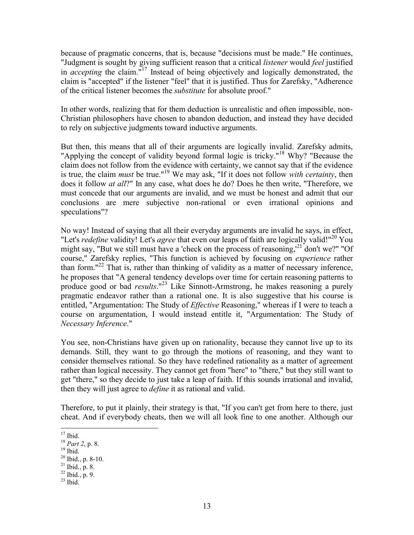because of pragmatic concerns, that is, because "decisions must be made." He continues, "Judgment is sought by giving sufficient reason that a critical *listener* would *feel* justified in *accepting* the claim."17 Instead of being objectively and logically demonstrated, the claim is "accepted" if the listener "feel" that it is justified. Thus for Zarefsky, "Adherence of the critical listener becomes the *substitute* for absolute proof."

In other words, realizing that for them deduction is unrealistic and often impossible, non-Christian philosophers have chosen to abandon deduction, and instead they have decided to rely on subjective judgments toward inductive arguments.

But then, this means that all of their arguments are logically invalid. Zarefsky admits, "Applying the concept of validity beyond formal logic is tricky."<sup>18</sup> Why? "Because the claim does not follow from the evidence with certainty, we cannot say that if the evidence is true, the claim *must* be true."19 We may ask, "If it does not follow *with certainty*, then does it follow *at all*?" In any case, what does he do? Does he then write, "Therefore, we must concede that our arguments are invalid, and we must be honest and admit that our conclusions are mere subjective non-rational or even irrational opinions and speculations"?

No way! Instead of saying that all their everyday arguments are invalid he says, in effect, "Let's *redefine* validity! Let's *agree* that even our leaps of faith are logically valid!"20 You might say, "But we still must have a 'check on the process of reasoning,<sup>21</sup> don't we?" "Of course," Zarefsky replies, "This function is achieved by focusing on *experience* rather than form."<sup>22</sup> That is, rather than thinking of validity as a matter of necessary inference, he proposes that "A general tendency develops over time for certain reasoning patterns to produce good or bad *results*."23 Like Sinnott-Armstrong, he makes reasoning a purely pragmatic endeavor rather than a rational one. It is also suggestive that his course is entitled, "Argumentation: The Study of *Effective* Reasoning," whereas if I were to teach a course on argumentation, I would instead entitle it, "Argumentation: The Study of *Necessary Inference*."

You see, non-Christians have given up on rationality, because they cannot live up to its demands. Still, they want to go through the motions of reasoning, and they want to consider themselves rational. So they have redefined rationality as a matter of agreement rather than logical necessity. They cannot get from "here" to "there," but they still want to get "there," so they decide to just take a leap of faith. If this sounds irrational and invalid, then they will just agree to *define* it as rational and valid.

Therefore, to put it plainly, their strategy is that, "If you can't get from here to there, just cheat. And if everybody cheats, then we will all look fine to one another. Although our

 $^{22}$  Ibid., p. 9.

<sup>1</sup>  $17$  Ibid.

<sup>&</sup>lt;sup>18</sup> *Part 2*, p. 8. <sup>19</sup> Ibid.

 $20$  Ibid., p. 8-10.

 $21$  Ibid., p. 8.

 $23$  Ibid.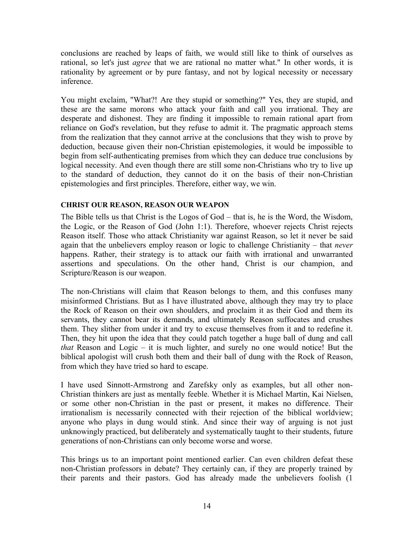conclusions are reached by leaps of faith, we would still like to think of ourselves as rational, so let's just *agree* that we are rational no matter what." In other words, it is rationality by agreement or by pure fantasy, and not by logical necessity or necessary inference.

You might exclaim, "What?! Are they stupid or something?" Yes, they are stupid, and these are the same morons who attack your faith and call you irrational. They are desperate and dishonest. They are finding it impossible to remain rational apart from reliance on God's revelation, but they refuse to admit it. The pragmatic approach stems from the realization that they cannot arrive at the conclusions that they wish to prove by deduction, because given their non-Christian epistemologies, it would be impossible to begin from self-authenticating premises from which they can deduce true conclusions by logical necessity. And even though there are still some non-Christians who try to live up to the standard of deduction, they cannot do it on the basis of their non-Christian epistemologies and first principles. Therefore, either way, we win.

#### **CHRIST OUR REASON, REASON OUR WEAPON**

The Bible tells us that Christ is the Logos of God – that is, he is the Word, the Wisdom, the Logic, or the Reason of God (John 1:1). Therefore, whoever rejects Christ rejects Reason itself. Those who attack Christianity war against Reason, so let it never be said again that the unbelievers employ reason or logic to challenge Christianity – that *never* happens. Rather, their strategy is to attack our faith with irrational and unwarranted assertions and speculations. On the other hand, Christ is our champion, and Scripture/Reason is our weapon.

The non-Christians will claim that Reason belongs to them, and this confuses many misinformed Christians. But as I have illustrated above, although they may try to place the Rock of Reason on their own shoulders, and proclaim it as their God and them its servants, they cannot bear its demands, and ultimately Reason suffocates and crushes them. They slither from under it and try to excuse themselves from it and to redefine it. Then, they hit upon the idea that they could patch together a huge ball of dung and call *that* Reason and Logic – it is much lighter, and surely no one would notice! But the biblical apologist will crush both them and their ball of dung with the Rock of Reason, from which they have tried so hard to escape.

I have used Sinnott-Armstrong and Zarefsky only as examples, but all other non-Christian thinkers are just as mentally feeble. Whether it is Michael Martin, Kai Nielsen, or some other non-Christian in the past or present, it makes no difference. Their irrationalism is necessarily connected with their rejection of the biblical worldview; anyone who plays in dung would stink. And since their way of arguing is not just unknowingly practiced, but deliberately and systematically taught to their students, future generations of non-Christians can only become worse and worse.

This brings us to an important point mentioned earlier. Can even children defeat these non-Christian professors in debate? They certainly can, if they are properly trained by their parents and their pastors. God has already made the unbelievers foolish (1